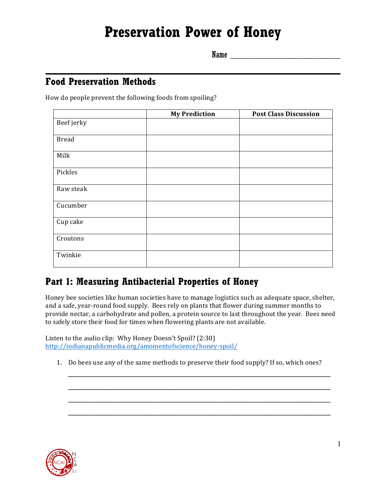# **Preservation Power of Honey**

Name \_\_\_\_\_\_\_\_\_\_\_\_\_\_\_\_\_\_\_\_\_\_\_\_\_

### **Food Preservation Methods**

How do people prevent the following foods from spoiling?

|              | <b>My Prediction</b> | <b>Post Class Discussion</b> |
|--------------|----------------------|------------------------------|
| Beef jerky   |                      |                              |
| <b>Bread</b> |                      |                              |
| Milk         |                      |                              |
| Pickles      |                      |                              |
| Raw steak    |                      |                              |
| Cucumber     |                      |                              |
| Cup cake     |                      |                              |
| Croutons     |                      |                              |
| Twinkie      |                      |                              |

# **Part 1: Measuring Antibacterial Properties of Honey**

Honey bee societies like human societies have to manage logistics such as adequate space, shelter, and a safe, year-round food supply. Bees rely on plants that flower during summer months to provide nectar, a carbohydrate and pollen, a protein source to last throughout the year. Bees need to safely store their food for times when flowering plants are not available.

Listen to the audio clip: Why Honey Doesn't Spoil? (2:30) http://indianapublicmedia.org/amomentofscience/honey-spoil/

1. Do bees use any of the same methods to preserve their food supply? If so, which ones?

\_\_\_\_\_\_\_\_\_\_\_\_\_\_\_\_\_\_\_\_\_\_\_\_\_\_\_\_\_\_\_\_\_\_\_\_\_\_\_\_\_\_\_\_\_\_\_\_\_\_\_\_

\_\_\_\_\_\_\_\_\_\_\_\_\_\_\_\_\_\_\_\_\_\_\_\_\_\_\_\_\_\_\_\_\_\_\_\_\_\_\_\_\_\_\_\_\_\_\_\_\_\_\_\_

\_\_\_\_\_\_\_\_\_\_\_\_\_\_\_\_\_\_\_\_\_\_\_\_\_\_\_\_\_\_\_\_\_\_\_\_\_\_\_\_\_\_\_\_\_\_\_\_\_\_\_\_

\_\_\_\_\_\_\_\_\_\_\_\_\_\_\_\_\_\_\_\_\_\_\_\_\_\_\_\_\_\_\_\_\_\_\_\_\_\_\_\_\_\_\_\_\_\_\_\_\_\_\_\_

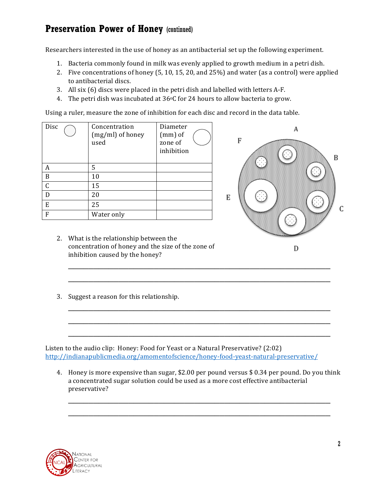Researchers interested in the use of honey as an antibacterial set up the following experiment.

- 1. Bacteria commonly found in milk was evenly applied to growth medium in a petri dish.
- 2. Five concentrations of honey  $(5, 10, 15, 20,$  and  $25\%)$  and water (as a control) were applied to antibacterial discs.
- 3. All six (6) discs were placed in the petri dish and labelled with letters A-F.
- 4. The petri dish was incubated at  $36^{\circ}$ C for 24 hours to allow bacteria to grow.

Using a ruler, measure the zone of inhibition for each disc and record in the data table.

| Disc | Concentration<br>(mg/ml) of honey<br>used | Diameter<br>$(mm)$ of<br>zone of<br>inhibition |
|------|-------------------------------------------|------------------------------------------------|
| А    | 5                                         |                                                |
| B    | 10                                        |                                                |
| C    | 15                                        |                                                |
| D    | 20                                        |                                                |
| E    | 25                                        |                                                |
| F    | Water only                                |                                                |



- 2. What is the relationship between the concentration of honey and the size of the zone of inhibition caused by the honey?
- 3. Suggest a reason for this relationship.

Listen to the audio clip: Honey: Food for Yeast or a Natural Preservative?  $(2:02)$ http://indianapublicmedia.org/amomentofscience/honey-food-yeast-natural-preservative/

4. Honey is more expensive than sugar, \$2.00 per pound versus \$ 0.34 per pound. Do you think a concentrated sugar solution could be used as a more cost effective antibacterial preservative?

\_\_\_\_\_\_\_\_\_\_\_\_\_\_\_\_\_\_\_\_\_\_\_\_\_\_\_\_\_\_\_\_\_\_\_\_\_\_\_\_\_\_\_\_\_\_\_\_\_\_\_\_

\_\_\_\_\_\_\_\_\_\_\_\_\_\_\_\_\_\_\_\_\_\_\_\_\_\_\_\_\_\_\_\_\_\_\_\_\_\_\_\_\_\_\_\_\_\_\_\_\_\_\_\_

\_\_\_\_\_\_\_\_\_\_\_\_\_\_\_\_\_\_\_\_\_\_\_\_\_\_\_\_\_\_\_\_\_\_\_\_\_\_\_\_\_\_\_\_\_\_\_\_\_\_\_\_

\_\_\_\_\_\_\_\_\_\_\_\_\_\_\_\_\_\_\_\_\_\_\_\_\_\_\_\_\_\_\_\_\_\_\_\_\_\_\_\_\_\_\_\_\_\_\_\_\_\_\_\_

\_\_\_\_\_\_\_\_\_\_\_\_\_\_\_\_\_\_\_\_\_\_\_\_\_\_\_\_\_\_\_\_\_\_\_\_\_\_\_\_\_\_\_\_\_\_\_\_\_\_\_\_

\_\_\_\_\_\_\_\_\_\_\_\_\_\_\_\_\_\_\_\_\_\_\_\_\_\_\_\_\_\_\_\_\_\_\_\_\_\_\_\_\_\_\_\_\_\_\_\_\_\_\_\_

\_\_\_\_\_\_\_\_\_\_\_\_\_\_\_\_\_\_\_\_\_\_\_\_\_\_\_\_\_\_\_\_\_\_\_\_\_\_\_\_\_\_\_\_\_\_\_\_\_\_\_\_

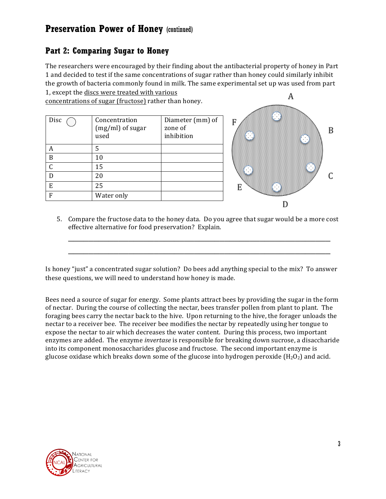#### **Part 2: Comparing Sugar to Honey**

The researchers were encouraged by their finding about the antibacterial property of honey in Part 1 and decided to test if the same concentrations of sugar rather than honey could similarly inhibit the growth of bacteria commonly found in milk. The same experimental set up was used from part 1, except the discs were treated with various А

concentrations of sugar (fructose) rather than honey.

| Disc | Concentration<br>(mg/ml) of sugar<br>used | Diameter (mm) of<br>zone of<br>inhibition |
|------|-------------------------------------------|-------------------------------------------|
|      | 5                                         |                                           |
| В    | 10                                        |                                           |
|      | 15                                        |                                           |
| 20   |                                           |                                           |
| E    | 25                                        |                                           |
| F    | Water only                                |                                           |



5. Compare the fructose data to the honey data. Do you agree that sugar would be a more cost effective alternative for food preservation? Explain.

\_\_\_\_\_\_\_\_\_\_\_\_\_\_\_\_\_\_\_\_\_\_\_\_\_\_\_\_\_\_\_\_\_\_\_\_\_\_\_\_\_\_\_\_\_\_\_\_\_\_\_\_

\_\_\_\_\_\_\_\_\_\_\_\_\_\_\_\_\_\_\_\_\_\_\_\_\_\_\_\_\_\_\_\_\_\_\_\_\_\_\_\_\_\_\_\_\_\_\_\_\_\_\_\_

Is honey "just" a concentrated sugar solution? Do bees add anything special to the mix? To answer these questions, we will need to understand how honey is made.

Bees need a source of sugar for energy. Some plants attract bees by providing the sugar in the form of nectar. During the course of collecting the nectar, bees transfer pollen from plant to plant. The foraging bees carry the nectar back to the hive. Upon returning to the hive, the forager unloads the nectar to a receiver bee. The receiver bee modifies the nectar by repeatedly using her tongue to expose the nectar to air which decreases the water content. During this process, two important enzymes are added. The enzyme *invertase* is responsible for breaking down sucrose, a disaccharide into its component monosaccharides glucose and fructose. The second important enzyme is glucose oxidase which breaks down some of the glucose into hydrogen peroxide  $(H_2O_2)$  and acid.

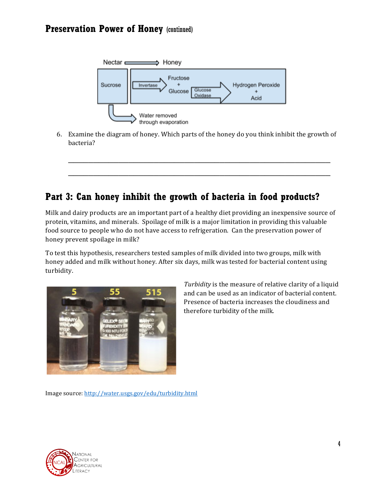

6. Examine the diagram of honey. Which parts of the honey do you think inhibit the growth of bacteria?

\_\_\_\_\_\_\_\_\_\_\_\_\_\_\_\_\_\_\_\_\_\_\_\_\_\_\_\_\_\_\_\_\_\_\_\_\_\_\_\_\_\_\_\_\_\_\_\_\_\_\_\_

\_\_\_\_\_\_\_\_\_\_\_\_\_\_\_\_\_\_\_\_\_\_\_\_\_\_\_\_\_\_\_\_\_\_\_\_\_\_\_\_\_\_\_\_\_\_\_\_\_\_\_\_

# **Part 3: Can honey inhibit the growth of bacteria in food products?**

Milk and dairy products are an important part of a healthy diet providing an inexpensive source of protein, vitamins, and minerals. Spoilage of milk is a major limitation in providing this valuable food source to people who do not have access to refrigeration. Can the preservation power of honey prevent spoilage in milk?

To test this hypothesis, researchers tested samples of milk divided into two groups, milk with honey added and milk without honey. After six days, milk was tested for bacterial content using turbidity.



*Turbidity* is the measure of relative clarity of a liquid and can be used as an indicator of bacterial content. Presence of bacteria increases the cloudiness and therefore turbidity of the milk.

Image source: http://water.usgs.gov/edu/turbidity.html